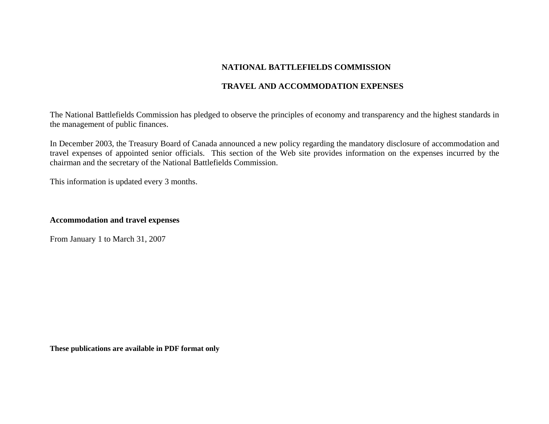# **NATIONAL BATTLEFIELDS COMMISSION**

## **TRAVEL AND ACCOMMODATION EXPENSES**

The National Battlefields Commission has pledged to observe the principles of economy and transparency and the highest standards in the management of public finances.

In December 2003, the Treasury Board of Canada announced a new policy regarding the mandatory disclosure of accommodation and travel expenses of appointed senior officials. This section of the Web site provides information on the expenses incurred by the chairman and the secretary of the National Battlefields Commission.

This information is updated every 3 months.

## **Accommodation and travel expenses**

From January 1 to March 31, 2007

**These publications are available in PDF format only**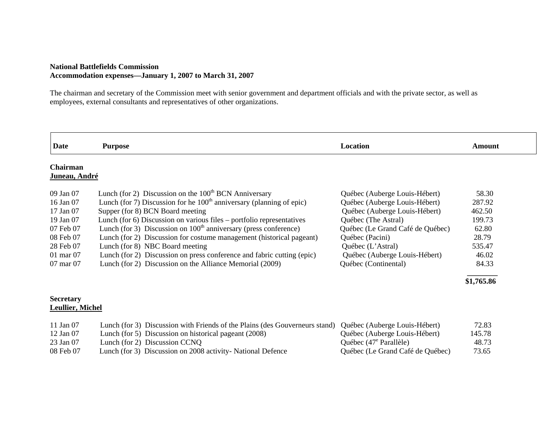### **National Battlefields Commission Accommodation expenses—January 1, 2007 to March 31, 2007**

The chairman and secretary of the Commission meet with senior government and department officials and with the private sector, as well as employees, external consultants and representatives of other organizations.

| <b>Date</b>                      | <b>Purpose</b>                                                         | Location                         | <b>Amount</b> |
|----------------------------------|------------------------------------------------------------------------|----------------------------------|---------------|
| <b>Chairman</b><br>Juneau, André |                                                                        |                                  |               |
| 09 Jan 07                        | Lunch (for 2) Discussion on the $100th$ BCN Anniversary                | Québec (Auberge Louis-Hébert)    | 58.30         |
| 16 Jan 07                        | Lunch (for 7) Discussion for he $100th$ anniversary (planning of epic) | Québec (Auberge Louis-Hébert)    | 287.92        |
| 17 Jan 07                        | Supper (for 8) BCN Board meeting                                       | Québec (Auberge Louis-Hébert)    | 462.50        |
| 19 Jan 07                        | Lunch (for 6) Discussion on various files – portfolio representatives  | Québec (The Astral)              | 199.73        |
| 07 Feb 07                        | Lunch (for 3) Discussion on $100th$ anniversary (press conference)     | Québec (Le Grand Café de Québec) | 62.80         |
| 08 Feb 07                        | Lunch (for 2) Discussion for costume management (historical pageant)   | Québec (Pacini)                  | 28.79         |
| 28 Feb 07                        | Lunch (for 8) NBC Board meeting                                        | Québec (L'Astral)                | 535.47        |
| $01 \text{ mar } 07$             | Lunch (for 2) Discussion on press conference and fabric cutting (epic) | Québec (Auberge Louis-Hébert)    | 46.02         |
| 07 mar 07                        | Lunch (for 2) Discussion on the Alliance Memorial (2009)               | Québec (Continental)             | 84.33         |

#### **Secretary Leullier, Michel**

| 11 Jan 07 | Lunch (for 3) Discussion with Friends of the Plains (des Gouverneurs stand) Québec (Auberge Louis-Hébert) |                                  | 72.83  |
|-----------|-----------------------------------------------------------------------------------------------------------|----------------------------------|--------|
| 12 Jan 07 | Lunch (for 5) Discussion on historical pageant (2008)                                                     | Québec (Auberge Louis-Hébert)    | 145.78 |
| 23 Jan 07 | Lunch (for 2) Discussion CCNQ                                                                             | Québec $(47^e$ Parallèle)        | 48.73  |
| 08 Feb 07 | Lunch (for 3) Discussion on 2008 activity-National Defence                                                | Québec (Le Grand Café de Québec) | 73.65  |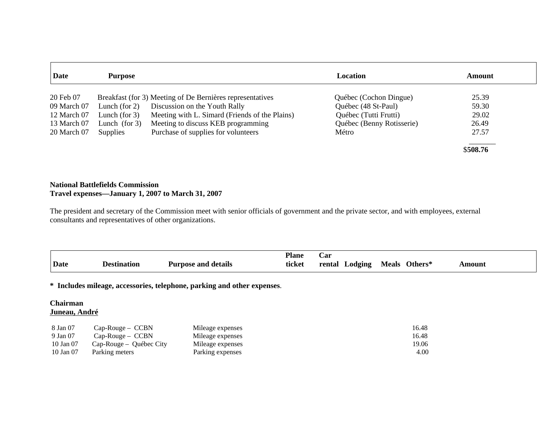| Date        | <b>Purpose</b>   |                                                           | <b>Location</b>           | <b>Amount</b> |
|-------------|------------------|-----------------------------------------------------------|---------------------------|---------------|
| 20 Feb 07   |                  | Breakfast (for 3) Meeting of De Bernières representatives | Québec (Cochon Dingue)    | 25.39         |
| 09 March 07 | Lunch (for $2$ ) | Discussion on the Youth Rally                             | Québec (48 St-Paul)       | 59.30         |
| 12 March 07 | Lunch (for $3$ ) | Meeting with L. Simard (Friends of the Plains)            | Québec (Tutti Frutti)     | 29.02         |
| 13 March 07 | Lunch (for $3$ ) | Meeting to discuss KEB programming                        | Québec (Benny Rotisserie) | 26.49         |
| 20 March 07 | <b>Supplies</b>  | Purchase of supplies for volunteers                       | Métro                     | 27.57         |
|             |                  |                                                           |                           |               |
|             |                  |                                                           |                           | \$508.76      |

### **National Battlefields Commission Travel expenses—January 1, 2007 to March 31, 2007**

The president and secretary of the Commission meet with senior officials of government and the private sector, and with employees, external consultants and representatives of other organizations.

|      |             |                                       | <b>Plane</b> | . ar              |                         |               |
|------|-------------|---------------------------------------|--------------|-------------------|-------------------------|---------------|
| Date | Destination | $\bullet$<br>l details<br>Purpose and | ticket       | Lodging<br>rental | <b>Meals</b><br>Others* | <b>\mount</b> |

**\* Includes mileage, accessories, telephone, parking and other expenses**.

#### **Chairman Juneau, André**

| 8 Jan 07  | $Cap-Rouge - CCBN$      | Mileage expenses | 16.48 |
|-----------|-------------------------|------------------|-------|
| 9 Jan 07  | $Cap$ -Rouge – $CCBN$   | Mileage expenses | 16.48 |
| 10 Jan 07 | Cap-Rouge – Québec City | Mileage expenses | 19.06 |
| 10 Jan 07 | Parking meters          | Parking expenses | 4.00  |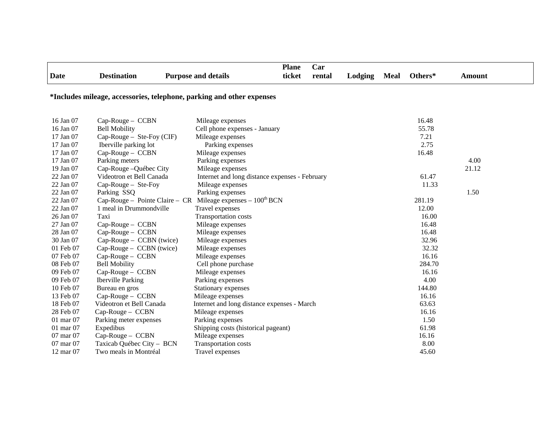| <b>Date</b>                                                           | <b>Destination</b>                                                      | <b>Purpose and details</b>                     | <b>Plane</b><br>ticket | Car<br>rental | Lodging | <b>Meal</b> | Others* | <b>Amount</b> |
|-----------------------------------------------------------------------|-------------------------------------------------------------------------|------------------------------------------------|------------------------|---------------|---------|-------------|---------|---------------|
| *Includes mileage, accessories, telephone, parking and other expenses |                                                                         |                                                |                        |               |         |             |         |               |
| 16 Jan 07                                                             | Cap-Rouge - CCBN                                                        | Mileage expenses                               |                        |               |         |             | 16.48   |               |
| 16 Jan 07                                                             | <b>Bell Mobility</b>                                                    | Cell phone expenses - January                  |                        |               |         |             | 55.78   |               |
| 17 Jan 07                                                             | Cap-Rouge - Ste-Foy (CIF)                                               | Mileage expenses                               |                        |               |         |             | 7.21    |               |
| 17 Jan 07                                                             | Iberville parking lot                                                   | Parking expenses                               |                        |               |         |             | 2.75    |               |
| 17 Jan 07                                                             | Cap-Rouge - CCBN                                                        | Mileage expenses                               |                        |               |         |             | 16.48   |               |
| 17 Jan 07                                                             | Parking meters                                                          | Parking expenses                               |                        |               |         |             |         | 4.00          |
| 19 Jan 07                                                             | Cap-Rouge - Québec City                                                 | Mileage expenses                               |                        |               |         |             |         | 21.12         |
| 22 Jan 07                                                             | Videotron et Bell Canada                                                | Internet and long distance expenses - February |                        |               |         |             | 61.47   |               |
| 22 Jan 07                                                             | Cap-Rouge - Ste-Foy                                                     | Mileage expenses                               |                        |               |         |             | 11.33   |               |
| 22 Jan 07                                                             | Parking SSQ                                                             | Parking expenses                               |                        |               |         |             |         | 1.50          |
| 22 Jan 07                                                             | Cap-Rouge - Pointe Claire - CR Mileage expenses - 100 <sup>th</sup> BCN |                                                |                        |               |         |             | 281.19  |               |
| 22 Jan 07                                                             | 1 meal in Drummondville                                                 | Travel expenses                                |                        |               |         |             | 12.00   |               |
| 26 Jan 07                                                             | Taxi                                                                    | Transportation costs                           |                        |               |         |             | 16.00   |               |
| 27 Jan 07                                                             | Cap-Rouge - CCBN                                                        | Mileage expenses                               |                        |               |         |             | 16.48   |               |
| 28 Jan 07                                                             | Cap-Rouge - CCBN                                                        | Mileage expenses                               |                        |               |         |             | 16.48   |               |
| 30 Jan 07                                                             | Cap-Rouge – CCBN (twice)                                                | Mileage expenses                               |                        |               |         |             | 32.96   |               |
| 01 Feb 07                                                             | Cap-Rouge - CCBN (twice)                                                | Mileage expenses                               |                        |               |         |             | 32.32   |               |
| 07 Feb 07                                                             | Cap-Rouge - CCBN                                                        | Mileage expenses                               |                        |               |         |             | 16.16   |               |
| 08 Feb 07                                                             | <b>Bell Mobility</b>                                                    | Cell phone purchase                            |                        |               |         |             | 284.70  |               |
| 09 Feb 07                                                             | Cap-Rouge - CCBN                                                        | Mileage expenses                               |                        |               |         |             | 16.16   |               |
| 09 Feb 07                                                             | <b>Iberville Parking</b>                                                | Parking expenses                               |                        |               |         |             | 4.00    |               |
| 10 Feb 07                                                             | Bureau en gros                                                          | Stationary expenses                            |                        |               |         |             | 144.80  |               |
| 13 Feb 07                                                             | Cap-Rouge - CCBN                                                        | Mileage expenses                               |                        |               |         |             | 16.16   |               |
| 18 Feb 07                                                             | Videotron et Bell Canada                                                | Internet and long distance expenses - March    |                        |               |         |             | 63.63   |               |
| 28 Feb 07                                                             | Cap-Rouge - CCBN                                                        | Mileage expenses                               |                        |               |         |             | 16.16   |               |
| $01$ mar $07$                                                         | Parking meter expenses                                                  | Parking expenses                               |                        |               |         |             | 1.50    |               |
| 01 mar 07                                                             | Expedibus                                                               | Shipping costs (historical pageant)            |                        |               |         |             | 61.98   |               |
| 07 mar 07                                                             | Cap-Rouge - CCBN                                                        | Mileage expenses                               |                        |               |         |             | 16.16   |               |
| 07 mar 07                                                             | Taxicab Québec City - BCN                                               | Transportation costs                           |                        |               |         |             | 8.00    |               |
| 12 mar 07                                                             | Two meals in Montréal                                                   | Travel expenses                                |                        |               |         |             | 45.60   |               |